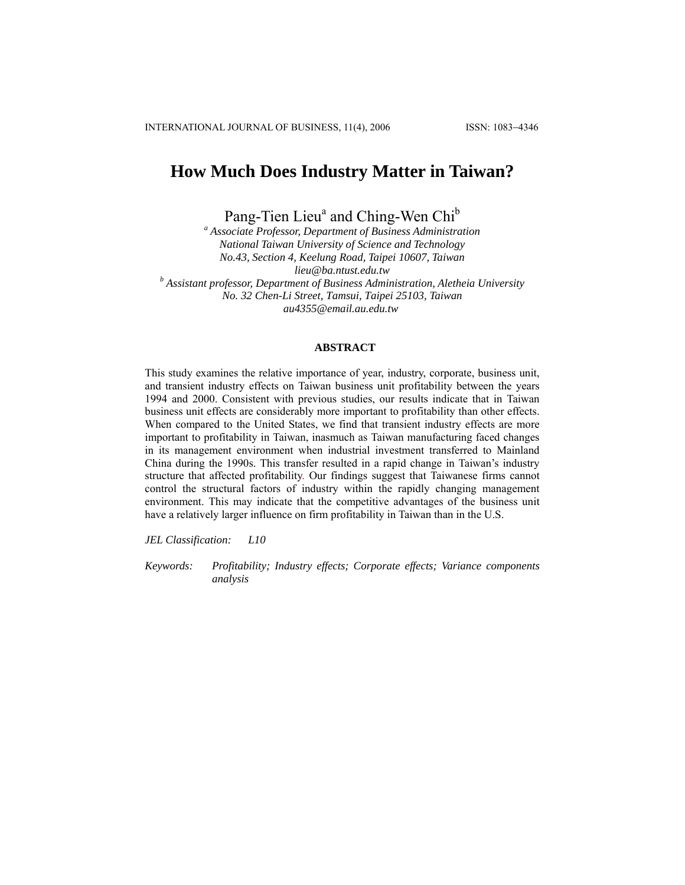# **How Much Does Industry Matter in Taiwan?**

Pang-Tien Lieu<sup>a</sup> and Ching-Wen Chi<sup>b</sup>

*a Associate Professor, Department of Business Administration National Taiwan University of Science and Technology No.43, Section 4, Keelung Road, Taipei 10607, Taiwan lieu@ba.ntust.edu.tw <sup>b</sup> Assistant professor, Department of Business Administration, Aletheia University No. 32 Chen-Li Street, Tamsui, Taipei 25103, Taiwan au4355@email.au.edu.tw* 

## **ABSTRACT**

This study examines the relative importance of year, industry, corporate, business unit, and transient industry effects on Taiwan business unit profitability between the years 1994 and 2000. Consistent with previous studies, our results indicate that in Taiwan business unit effects are considerably more important to profitability than other effects. When compared to the United States, we find that transient industry effects are more important to profitability in Taiwan, inasmuch as Taiwan manufacturing faced changes in its management environment when industrial investment transferred to Mainland China during the 1990s. This transfer resulted in a rapid change in Taiwan's industry structure that affected profitability. Our findings suggest that Taiwanese firms cannot control the structural factors of industry within the rapidly changing management environment. This may indicate that the competitive advantages of the business unit have a relatively larger influence on firm profitability in Taiwan than in the U.S.

*JEL Classification: L10* 

*Keywords: Profitability; Industry effects; Corporate effects; Variance components analysis*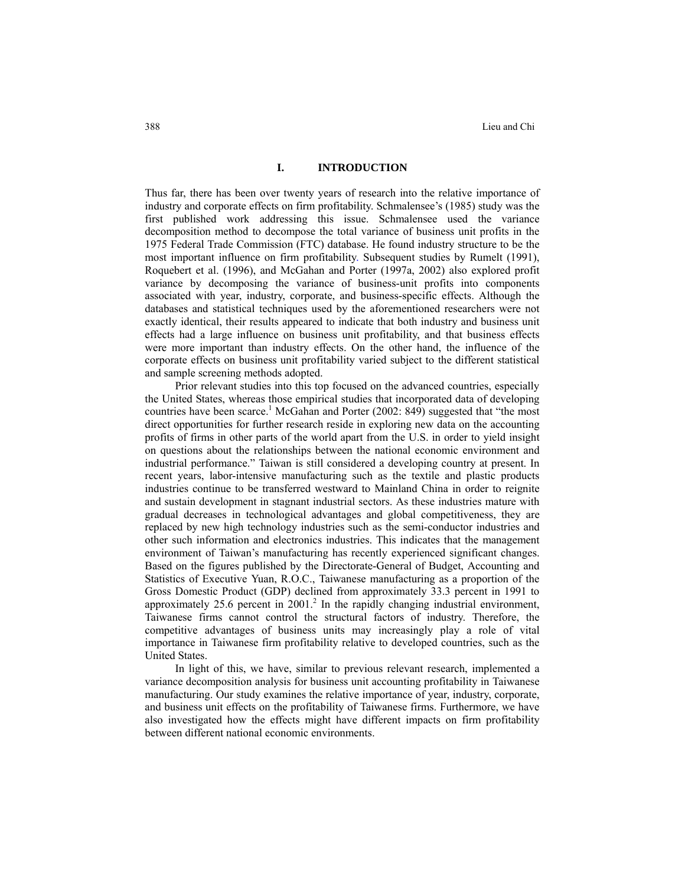## **I. INTRODUCTION**

Thus far, there has been over twenty years of research into the relative importance of industry and corporate effects on firm profitability. Schmalensee's (1985) study was the first published work addressing this issue. Schmalensee used the variance decomposition method to decompose the total variance of business unit profits in the 1975 Federal Trade Commission (FTC) database. He found industry structure to be the most important influence on firm profitability. Subsequent studies by Rumelt (1991), Roquebert et al. (1996), and McGahan and Porter (1997a, 2002) also explored profit variance by decomposing the variance of business-unit profits into components associated with year, industry, corporate, and business-specific effects. Although the databases and statistical techniques used by the aforementioned researchers were not exactly identical, their results appeared to indicate that both industry and business unit effects had a large influence on business unit profitability, and that business effects were more important than industry effects. On the other hand, the influence of the corporate effects on business unit profitability varied subject to the different statistical and sample screening methods adopted.

Prior relevant studies into this top focused on the advanced countries, especially the United States, whereas those empirical studies that incorporated data of developing countries have been scarce.<sup>1</sup> McGahan and Porter (2002: 849) suggested that "the most direct opportunities for further research reside in exploring new data on the accounting profits of firms in other parts of the world apart from the U.S. in order to yield insight on questions about the relationships between the national economic environment and industrial performance." Taiwan is still considered a developing country at present. In recent years, labor-intensive manufacturing such as the textile and plastic products industries continue to be transferred westward to Mainland China in order to reignite and sustain development in stagnant industrial sectors. As these industries mature with gradual decreases in technological advantages and global competitiveness, they are replaced by new high technology industries such as the semi-conductor industries and other such information and electronics industries. This indicates that the management environment of Taiwan's manufacturing has recently experienced significant changes. Based on the figures published by the Directorate-General of Budget, Accounting and Statistics of Executive Yuan, R.O.C., Taiwanese manufacturing as a proportion of the Gross Domestic Product (GDP) declined from approximately 33.3 percent in 1991 to approximately  $25.6$  percent in  $2001$ .<sup>2</sup> In the rapidly changing industrial environment, Taiwanese firms cannot control the structural factors of industry. Therefore, the competitive advantages of business units may increasingly play a role of vital importance in Taiwanese firm profitability relative to developed countries, such as the United States.

In light of this, we have, similar to previous relevant research, implemented a variance decomposition analysis for business unit accounting profitability in Taiwanese manufacturing. Our study examines the relative importance of year, industry, corporate, and business unit effects on the profitability of Taiwanese firms. Furthermore, we have also investigated how the effects might have different impacts on firm profitability between different national economic environments.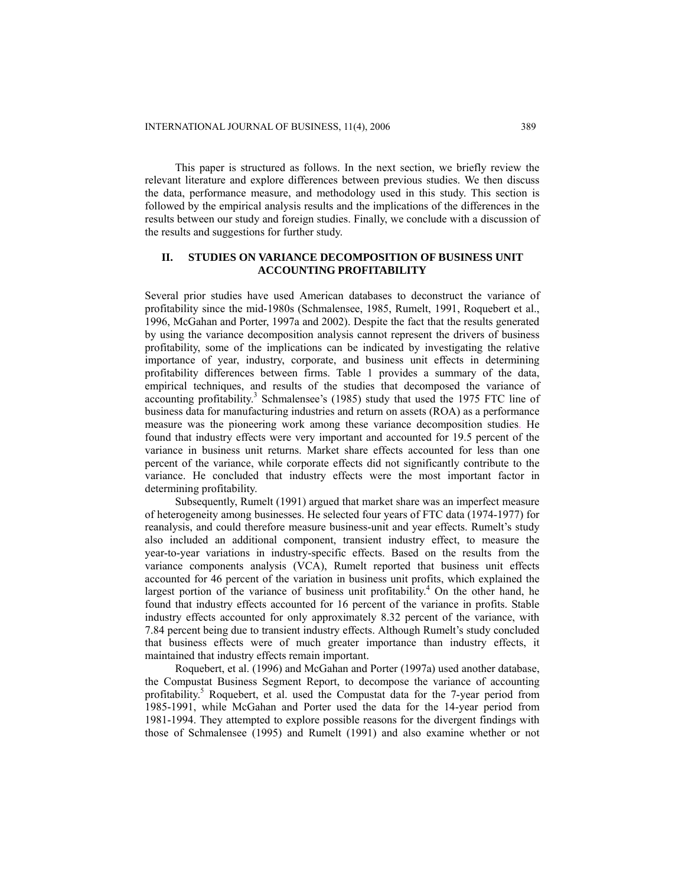This paper is structured as follows. In the next section, we briefly review the relevant literature and explore differences between previous studies. We then discuss the data, performance measure, and methodology used in this study. This section is followed by the empirical analysis results and the implications of the differences in the results between our study and foreign studies. Finally, we conclude with a discussion of the results and suggestions for further study.

# **II. STUDIES ON VARIANCE DECOMPOSITION OF BUSINESS UNIT ACCOUNTING PROFITABILITY**

Several prior studies have used American databases to deconstruct the variance of profitability since the mid-1980s (Schmalensee, 1985, Rumelt, 1991, Roquebert et al., 1996, McGahan and Porter, 1997a and 2002). Despite the fact that the results generated by using the variance decomposition analysis cannot represent the drivers of business profitability, some of the implications can be indicated by investigating the relative importance of year, industry, corporate, and business unit effects in determining profitability differences between firms. Table 1 provides a summary of the data, empirical techniques, and results of the studies that decomposed the variance of accounting profitability.<sup>3</sup> Schmalensee's (1985) study that used the 1975 FTC line of business data for manufacturing industries and return on assets (ROA) as a performance measure was the pioneering work among these variance decomposition studies. He found that industry effects were very important and accounted for 19.5 percent of the variance in business unit returns. Market share effects accounted for less than one percent of the variance, while corporate effects did not significantly contribute to the variance. He concluded that industry effects were the most important factor in determining profitability.

Subsequently, Rumelt (1991) argued that market share was an imperfect measure of heterogeneity among businesses. He selected four years of FTC data (1974-1977) for reanalysis, and could therefore measure business-unit and year effects. Rumelt's study also included an additional component, transient industry effect, to measure the year-to-year variations in industry-specific effects. Based on the results from the variance components analysis (VCA), Rumelt reported that business unit effects accounted for 46 percent of the variation in business unit profits, which explained the largest portion of the variance of business unit profitability.<sup>4</sup> On the other hand, he found that industry effects accounted for 16 percent of the variance in profits. Stable industry effects accounted for only approximately 8.32 percent of the variance, with 7.84 percent being due to transient industry effects. Although Rumelt's study concluded that business effects were of much greater importance than industry effects, it maintained that industry effects remain important.

Roquebert, et al. (1996) and McGahan and Porter (1997a) used another database, the Compustat Business Segment Report, to decompose the variance of accounting profitability.<sup>5</sup> Roquebert, et al. used the Compustat data for the 7-year period from 1985-1991, while McGahan and Porter used the data for the 14-year period from 1981-1994. They attempted to explore possible reasons for the divergent findings with those of Schmalensee (1995) and Rumelt (1991) and also examine whether or not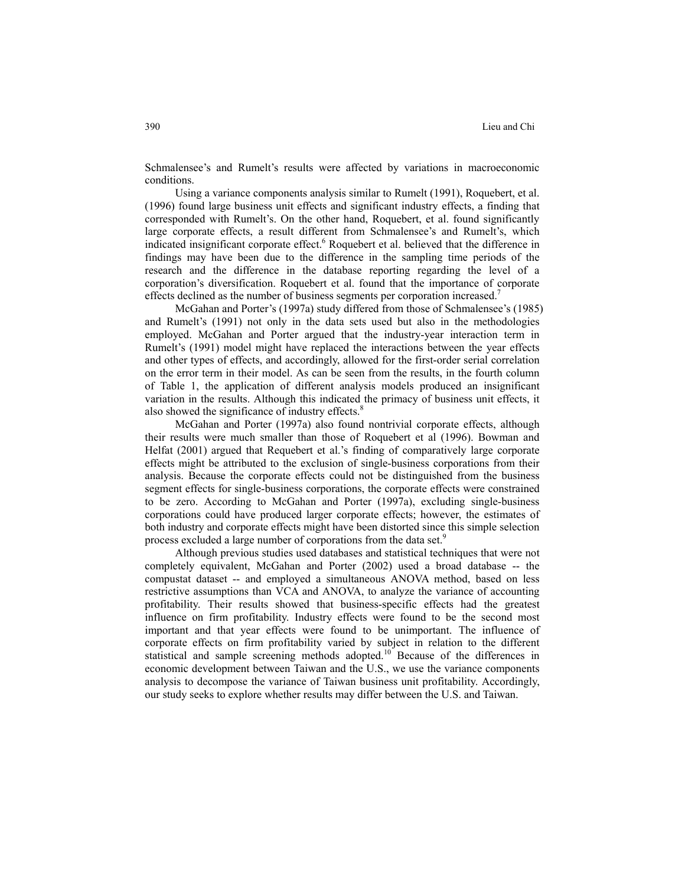Schmalensee's and Rumelt's results were affected by variations in macroeconomic conditions.

Using a variance components analysis similar to Rumelt (1991), Roquebert, et al. (1996) found large business unit effects and significant industry effects, a finding that corresponded with Rumelt's. On the other hand, Roquebert, et al. found significantly large corporate effects, a result different from Schmalensee's and Rumelt's, which indicated insignificant corporate effect.<sup>6</sup> Roquebert et al. believed that the difference in findings may have been due to the difference in the sampling time periods of the research and the difference in the database reporting regarding the level of a corporation's diversification. Roquebert et al. found that the importance of corporate effects declined as the number of business segments per corporation increased.<sup>7</sup>

McGahan and Porter's (1997a) study differed from those of Schmalensee's (1985) and Rumelt's (1991) not only in the data sets used but also in the methodologies employed. McGahan and Porter argued that the industry-year interaction term in Rumelt's (1991) model might have replaced the interactions between the year effects and other types of effects, and accordingly, allowed for the first-order serial correlation on the error term in their model. As can be seen from the results, in the fourth column of Table 1, the application of different analysis models produced an insignificant variation in the results. Although this indicated the primacy of business unit effects, it also showed the significance of industry effects.<sup>8</sup>

McGahan and Porter (1997a) also found nontrivial corporate effects, although their results were much smaller than those of Roquebert et al (1996). Bowman and Helfat (2001) argued that Requebert et al.'s finding of comparatively large corporate effects might be attributed to the exclusion of single-business corporations from their analysis. Because the corporate effects could not be distinguished from the business segment effects for single-business corporations, the corporate effects were constrained to be zero. According to McGahan and Porter (1997a), excluding single-business corporations could have produced larger corporate effects; however, the estimates of both industry and corporate effects might have been distorted since this simple selection process excluded a large number of corporations from the data set.<sup>9</sup>

Although previous studies used databases and statistical techniques that were not completely equivalent, McGahan and Porter (2002) used a broad database -- the compustat dataset -- and employed a simultaneous ANOVA method, based on less restrictive assumptions than VCA and ANOVA, to analyze the variance of accounting profitability. Their results showed that business-specific effects had the greatest influence on firm profitability. Industry effects were found to be the second most important and that year effects were found to be unimportant. The influence of corporate effects on firm profitability varied by subject in relation to the different statistical and sample screening methods adopted.<sup>10</sup> Because of the differences in economic development between Taiwan and the U.S., we use the variance components analysis to decompose the variance of Taiwan business unit profitability. Accordingly, our study seeks to explore whether results may differ between the U.S. and Taiwan.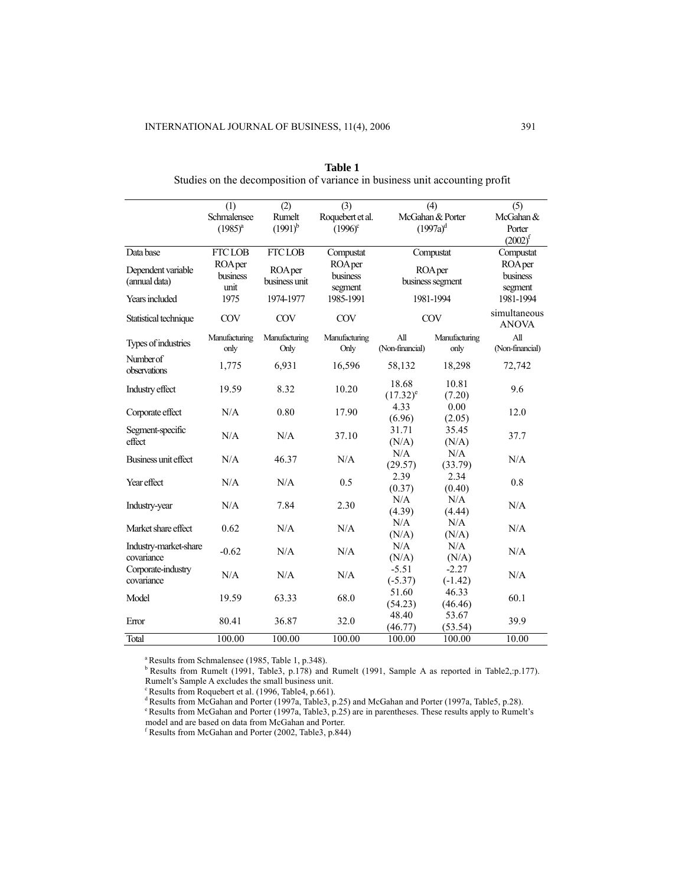|                           | (1)            | $\overline{(2)}$ | (3)              | (4)                             | (5)           |                              |  |
|---------------------------|----------------|------------------|------------------|---------------------------------|---------------|------------------------------|--|
|                           | Schmalensee    | Rumelt           | Roquebert et al. | McGahan & Porter<br>$(1997a)^d$ |               | McGahan &                    |  |
|                           | $(1985)^{a}$   | $(1991)^{b}$     | $(1996)^c$       |                                 |               | Porter                       |  |
|                           |                |                  |                  |                                 |               | $(2002)^f$                   |  |
| Data base                 | <b>FTCLOB</b>  | <b>FTCLOB</b>    | Compustat        | Compustat                       |               | Compustat                    |  |
| Dependent variable        | <b>ROA</b> per | ROA per          | ROA per          |                                 | ROA per       | <b>ROA</b> per               |  |
| (annual data)             | business       | business unit    | business         | business segment                |               | business                     |  |
|                           | unit           |                  | segment          |                                 |               | segment                      |  |
| Years included            | 1975           | 1974-1977        | 1985-1991        | 1981-1994                       |               | 1981-1994                    |  |
| Statistical technique     | <b>COV</b>     | COV              | COV              | COV                             |               | simultaneous<br><b>ANOVA</b> |  |
|                           |                |                  |                  |                                 |               |                              |  |
| Types of industries       | Manufacturing  | Manufacturing    | Manufacturing    | All                             | Manufacturing | All                          |  |
|                           | only           | Only             | Only             | (Non-financial)                 | only          | (Non-financial)              |  |
| Number of<br>observations | 1,775          | 6.931            | 16,596           | 58,132                          | 18,298        | 72,742                       |  |
|                           |                |                  |                  | 18.68                           | 10.81         |                              |  |
| Industry effect           | 19.59          | 8.32             | 10.20            | $(17.32)^e$                     | (7.20)        | 9.6                          |  |
|                           |                |                  |                  | 4.33                            | 0.00          |                              |  |
| Corporate effect          | N/A            | 0.80             | 17.90            | (6.96)                          | (2.05)        | 12.0                         |  |
| Segment-specific          |                |                  |                  | 31.71                           | 35.45         |                              |  |
| effect                    | N/A            | N/A              | 37.10            | (N/A)                           | (N/A)         | 37.7                         |  |
|                           |                |                  |                  | N/A                             | N/A           |                              |  |
| Business unit effect      | N/A            | 46.37            | N/A              | (29.57)                         | (33.79)       | N/A                          |  |
|                           |                |                  |                  | 2.39                            | 2.34          |                              |  |
| Year effect               | N/A            | N/A              | 0.5              | (0.37)                          | (0.40)        | 0.8                          |  |
|                           |                |                  |                  | N/A                             | N/A           |                              |  |
| Industry-year             | N/A            | 7.84             | 2.30             | (4.39)                          | (4.44)        | N/A                          |  |
|                           |                |                  |                  | N/A                             | N/A           |                              |  |
| Market share effect       | 0.62           | N/A              | N/A              | (N/A)                           | (N/A)         | N/A                          |  |
| Industry-market-share     |                |                  |                  | N/A                             | N/A           |                              |  |
| covariance                | $-0.62$        | N/A              | N/A              | (N/A)                           | (N/A)         | N/A                          |  |
| Corporate-industry        |                |                  |                  | $-5.51$                         | $-2.27$       | N/A                          |  |
| covariance                | N/A            | N/A              | N/A              | $(-5.37)$                       | $(-1.42)$     |                              |  |
|                           | 19.59          | 63.33            | 68.0             | 51.60                           | 46.33         | 60.1                         |  |
| Model                     |                |                  |                  | (54.23)                         | (46.46)       |                              |  |
|                           |                | 36.87            | 32.0             | 48.40                           | 53.67         | 39.9                         |  |
| Error                     | 80.41          |                  |                  | (46.77)                         | (53.54)       |                              |  |
| Total                     | 100.00         | 100.00           | 100.00           | 100.00                          | 100.00        | 10.00                        |  |

| Table 1                                                                     |  |  |  |  |  |  |  |
|-----------------------------------------------------------------------------|--|--|--|--|--|--|--|
| Studies on the decomposition of variance in business unit accounting profit |  |  |  |  |  |  |  |

<sup>a</sup> Results from Schmalensee (1985, Table 1, p.348).

 $b$  Results from Rumelt (1991, Table3, p.178) and Rumelt (1991, Sample A as reported in Table2,:p.177). Rumelt's Sample A excludes the small business unit.

<sup>c</sup> Results from Roquebert et al. (1996, Table4, p.661).

d Results from McGahan and Porter (1997a, Table3, p.25) and McGahan and Porter (1997a, Table5, p.28).<br>
e Results from McGahan and Porter (1997a, Table3, p.25) are in parentheses. These results apply to Rumelt's model and are based on data from McGahan and Porter.

Results from McGahan and Porter (2002, Table3, p.844)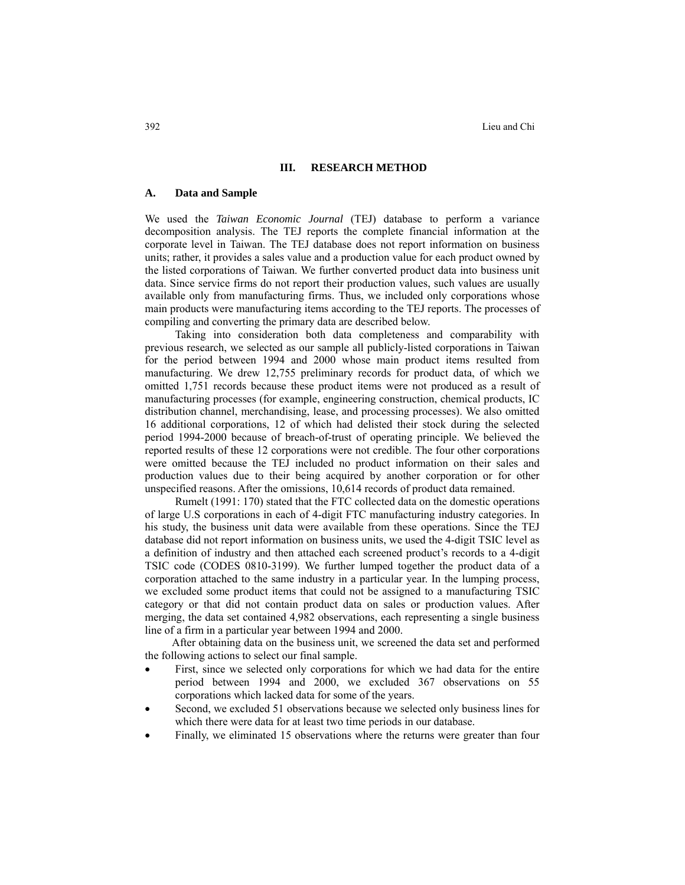#### **III. RESEARCH METHOD**

# **A. Data and Sample**

We used the *Taiwan Economic Journal* (TEJ) database to perform a variance decomposition analysis. The TEJ reports the complete financial information at the corporate level in Taiwan. The TEJ database does not report information on business units; rather, it provides a sales value and a production value for each product owned by the listed corporations of Taiwan. We further converted product data into business unit data. Since service firms do not report their production values, such values are usually available only from manufacturing firms. Thus, we included only corporations whose main products were manufacturing items according to the TEJ reports. The processes of compiling and converting the primary data are described below.

Taking into consideration both data completeness and comparability with previous research, we selected as our sample all publicly-listed corporations in Taiwan for the period between 1994 and 2000 whose main product items resulted from manufacturing. We drew 12,755 preliminary records for product data, of which we omitted 1,751 records because these product items were not produced as a result of manufacturing processes (for example, engineering construction, chemical products, IC distribution channel, merchandising, lease, and processing processes). We also omitted 16 additional corporations, 12 of which had delisted their stock during the selected period 1994-2000 because of breach-of-trust of operating principle. We believed the reported results of these 12 corporations were not credible. The four other corporations were omitted because the TEJ included no product information on their sales and production values due to their being acquired by another corporation or for other unspecified reasons. After the omissions, 10,614 records of product data remained.

Rumelt (1991: 170) stated that the FTC collected data on the domestic operations of large U.S corporations in each of 4-digit FTC manufacturing industry categories. In his study, the business unit data were available from these operations. Since the TEJ database did not report information on business units, we used the 4-digit TSIC level as a definition of industry and then attached each screened product's records to a 4-digit TSIC code (CODES 0810-3199). We further lumped together the product data of a corporation attached to the same industry in a particular year. In the lumping process, we excluded some product items that could not be assigned to a manufacturing TSIC category or that did not contain product data on sales or production values. After merging, the data set contained 4,982 observations, each representing a single business line of a firm in a particular year between 1994 and 2000.

After obtaining data on the business unit, we screened the data set and performed the following actions to select our final sample.

- First, since we selected only corporations for which we had data for the entire period between 1994 and 2000, we excluded 367 observations on 55 corporations which lacked data for some of the years.
- Second, we excluded 51 observations because we selected only business lines for which there were data for at least two time periods in our database.
- Finally, we eliminated 15 observations where the returns were greater than four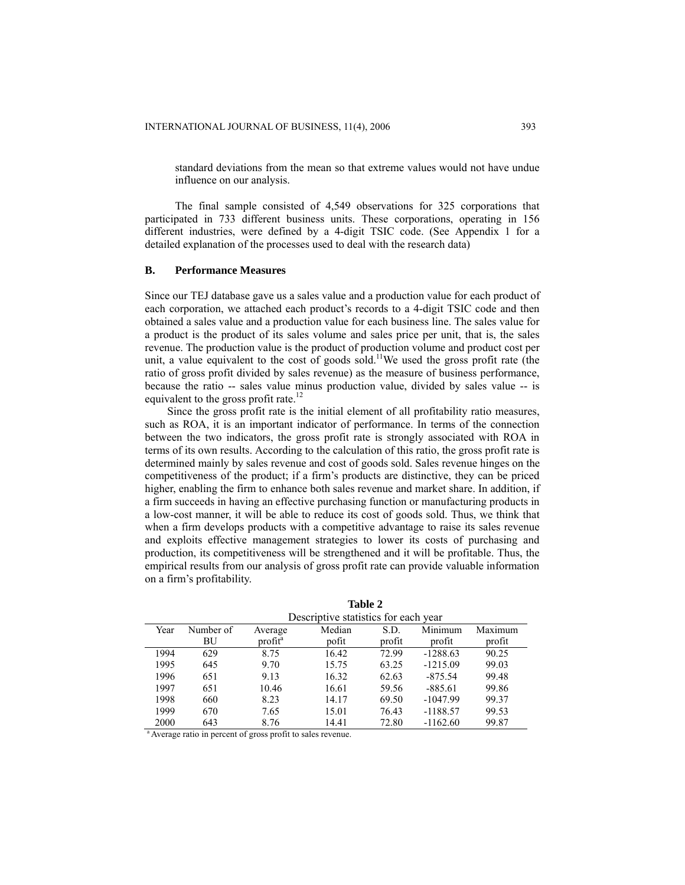standard deviations from the mean so that extreme values would not have undue influence on our analysis.

The final sample consisted of 4,549 observations for 325 corporations that participated in 733 different business units. These corporations, operating in 156 different industries, were defined by a 4-digit TSIC code. (See Appendix 1 for a detailed explanation of the processes used to deal with the research data)

## **B. Performance Measures**

Since our TEJ database gave us a sales value and a production value for each product of each corporation, we attached each product's records to a 4-digit TSIC code and then obtained a sales value and a production value for each business line. The sales value for a product is the product of its sales volume and sales price per unit, that is, the sales revenue. The production value is the product of production volume and product cost per unit, a value equivalent to the cost of goods sold.<sup>11</sup>We used the gross profit rate (the ratio of gross profit divided by sales revenue) as the measure of business performance, because the ratio -- sales value minus production value, divided by sales value -- is equivalent to the gross profit rate.<sup>12</sup>

Since the gross profit rate is the initial element of all profitability ratio measures, such as ROA, it is an important indicator of performance. In terms of the connection between the two indicators, the gross profit rate is strongly associated with ROA in terms of its own results. According to the calculation of this ratio, the gross profit rate is determined mainly by sales revenue and cost of goods sold. Sales revenue hinges on the competitiveness of the product; if a firm's products are distinctive, they can be priced higher, enabling the firm to enhance both sales revenue and market share. In addition, if a firm succeeds in having an effective purchasing function or manufacturing products in a low-cost manner, it will be able to reduce its cost of goods sold. Thus, we think that when a firm develops products with a competitive advantage to raise its sales revenue and exploits effective management strategies to lower its costs of purchasing and production, its competitiveness will be strengthened and it will be profitable. Thus, the empirical results from our analysis of gross profit rate can provide valuable information on a firm's profitability.

|      | Descriptive statistics for each year |                     |        |        |            |         |  |
|------|--------------------------------------|---------------------|--------|--------|------------|---------|--|
| Year | Number of                            | Average             | Median | S.D.   | Minimum    | Maximum |  |
|      | ΒU                                   | profit <sup>a</sup> | pofit  | profit | profit     | profit  |  |
| 1994 | 629                                  | 8.75                | 16.42  | 72.99  | $-1288.63$ | 90.25   |  |
| 1995 | 645                                  | 9.70                | 15.75  | 63.25  | $-1215.09$ | 99.03   |  |
| 1996 | 651                                  | 9.13                | 16.32  | 62.63  | $-875.54$  | 99.48   |  |
| 1997 | 651                                  | 10.46               | 16.61  | 59.56  | $-885.61$  | 99.86   |  |
| 1998 | 660                                  | 8.23                | 14.17  | 69.50  | $-1047.99$ | 99.37   |  |
| 1999 | 670                                  | 7.65                | 15.01  | 76.43  | $-1188.57$ | 99.53   |  |
| 2000 | 643                                  | 8.76                | 14.41  | 72.80  | $-1162.60$ | 99.87   |  |

**Table 2** 

<sup>a</sup> Average ratio in percent of gross profit to sales revenue.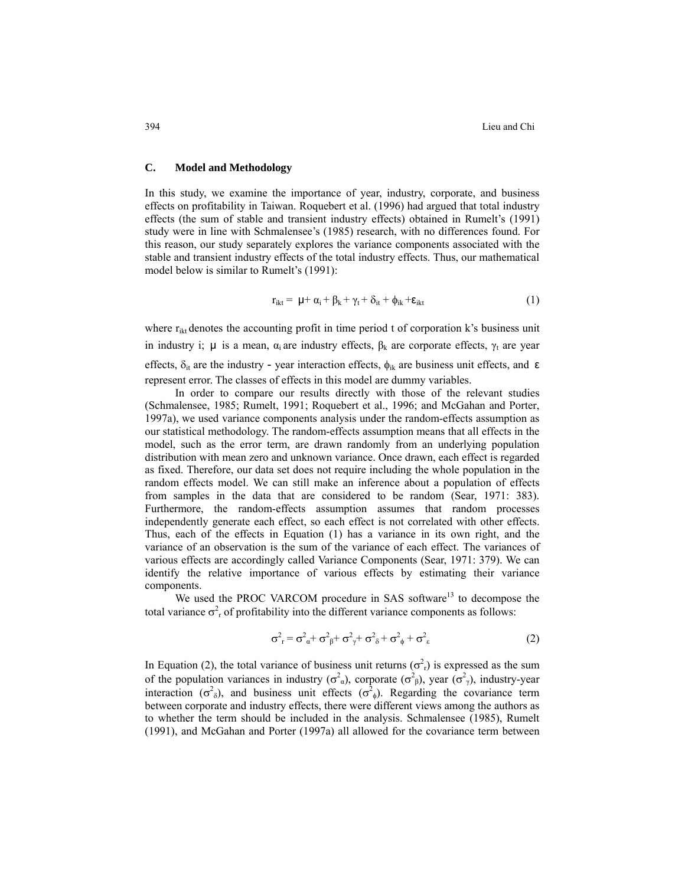## **C. Model and Methodology**

In this study, we examine the importance of year, industry, corporate, and business effects on profitability in Taiwan. Roquebert et al. (1996) had argued that total industry effects (the sum of stable and transient industry effects) obtained in Rumelt's (1991) study were in line with Schmalensee's (1985) research, with no differences found. For this reason, our study separately explores the variance components associated with the stable and transient industry effects of the total industry effects. Thus, our mathematical model below is similar to Rumelt's (1991):

$$
r_{ikt} = \mu + \alpha_i + \beta_k + \gamma_t + \delta_{it} + \phi_{ik} + \varepsilon_{ikt}
$$
\n(1)

where  $r_{ik}$  denotes the accounting profit in time period t of corporation k's business unit in industry i;  $\mu$  is a mean,  $\alpha_i$  are industry effects,  $\beta_k$  are corporate effects,  $\gamma_t$  are year effects,  $\delta_{it}$  are the industry - year interaction effects,  $\phi_{ik}$  are business unit effects, and  $\epsilon$ represent error. The classes of effects in this model are dummy variables.

In order to compare our results directly with those of the relevant studies (Schmalensee, 1985; Rumelt, 1991; Roquebert et al., 1996; and McGahan and Porter, 1997a), we used variance components analysis under the random-effects assumption as our statistical methodology. The random-effects assumption means that all effects in the model, such as the error term, are drawn randomly from an underlying population distribution with mean zero and unknown variance. Once drawn, each effect is regarded as fixed. Therefore, our data set does not require including the whole population in the random effects model. We can still make an inference about a population of effects from samples in the data that are considered to be random (Sear, 1971: 383). Furthermore, the random-effects assumption assumes that random processes independently generate each effect, so each effect is not correlated with other effects. Thus, each of the effects in Equation (1) has a variance in its own right, and the variance of an observation is the sum of the variance of each effect. The variances of various effects are accordingly called Variance Components (Sear, 1971: 379). We can identify the relative importance of various effects by estimating their variance components.

We used the PROC VARCOM procedure in SAS software<sup>13</sup> to decompose the total variance  $\sigma_{\rm r}^2$  of profitability into the different variance components as follows:

$$
\sigma^2_{\ \ r} = \sigma^2_{\ \alpha} + \sigma^2_{\ \beta} + \sigma^2_{\ \gamma} + \sigma^2_{\ \delta} + \sigma^2_{\ \phi} + \sigma^2_{\ \epsilon} \tag{2}
$$

In Equation (2), the total variance of business unit returns  $(\sigma_n^2)$  is expressed as the sum of the population variances in industry  $(\sigma^2_{\alpha})$ , corporate  $(\sigma^2_{\beta})$ , year  $(\sigma^2_{\gamma})$ , industry-year interaction ( $\sigma^2$ <sub>δ</sub>), and business unit effects ( $\sigma^2$ <sub>φ</sub>). Regarding the covariance term between corporate and industry effects, there were different views among the authors as to whether the term should be included in the analysis. Schmalensee (1985), Rumelt (1991), and McGahan and Porter (1997a) all allowed for the covariance term between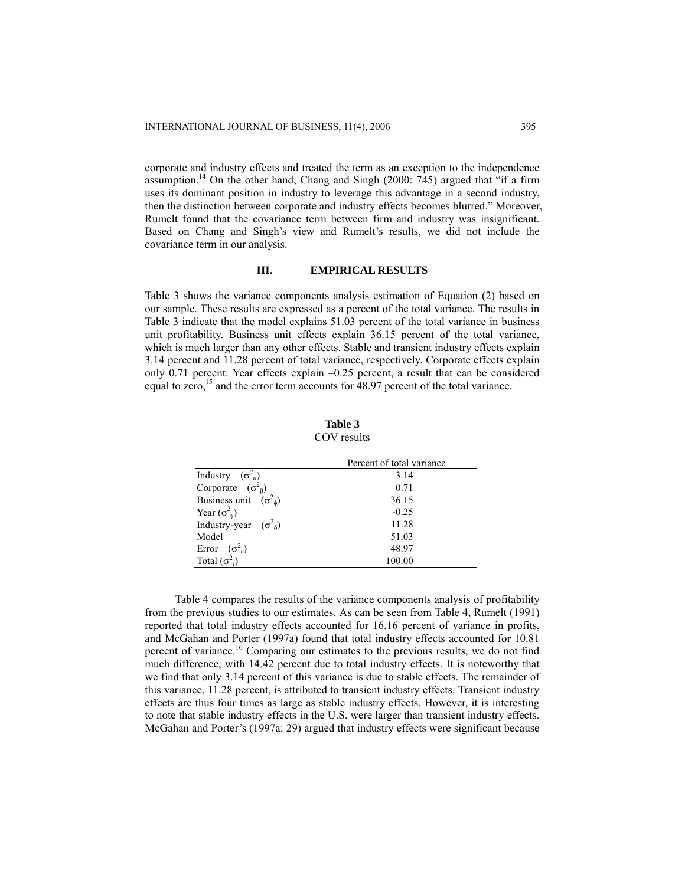corporate and industry effects and treated the term as an exception to the independence assumption.<sup>14</sup> On the other hand, Chang and Singh (2000: 745) argued that "if a firm uses its dominant position in industry to leverage this advantage in a second industry, then the distinction between corporate and industry effects becomes blurred." Moreover, Rumelt found that the covariance term between firm and industry was insignificant. Based on Chang and Singh's view and Rumelt's results, we did not include the covariance term in our analysis.

## **III. EMPIRICAL RESULTS**

Table 3 shows the variance components analysis estimation of Equation (2) based on our sample. These results are expressed as a percent of the total variance. The results in Table 3 indicate that the model explains 51.03 percent of the total variance in business unit profitability. Business unit effects explain 36.15 percent of the total variance, which is much larger than any other effects. Stable and transient industry effects explain 3.14 percent and 11.28 percent of total variance, respectively. Corporate effects explain only 0.71 percent. Year effects explain –0.25 percent, a result that can be considered equal to zero,<sup>15</sup> and the error term accounts for 48.97 percent of the total variance.

| COV results                         |                           |  |  |  |
|-------------------------------------|---------------------------|--|--|--|
|                                     | Percent of total variance |  |  |  |
| Industry $(\sigma^2_{\alpha})$      | 3.14                      |  |  |  |
| Corporate $(\sigma_{\beta}^2)$      | 0.71                      |  |  |  |
| Business unit $(\sigma_{\phi}^2)$   | 36.15                     |  |  |  |
| Year $(\sigma_{\gamma}^2)$          | $-0.25$                   |  |  |  |
| Industry-year $(\sigma^2_{\delta})$ | 11.28                     |  |  |  |
| Model                               | 51.03                     |  |  |  |
| Error $(\sigma^2)$                  | 48.97                     |  |  |  |

r) 100.00

Error  $(\sigma^2)$ 

Total  $(\sigma_{\rm r}^2)$ 

**Table 3** 

Table 4 compares the results of the variance components analysis of profitability from the previous studies to our estimates. As can be seen from Table 4, Rumelt (1991) reported that total industry effects accounted for 16.16 percent of variance in profits, and McGahan and Porter (1997a) found that total industry effects accounted for 10.81 percent of variance.<sup>16</sup> Comparing our estimates to the previous results, we do not find much difference, with 14.42 percent due to total industry effects. It is noteworthy that we find that only 3.14 percent of this variance is due to stable effects. The remainder of this variance, 11.28 percent, is attributed to transient industry effects. Transient industry effects are thus four times as large as stable industry effects. However, it is interesting to note that stable industry effects in the U.S. were larger than transient industry effects. McGahan and Porter's (1997a: 29) argued that industry effects were significant because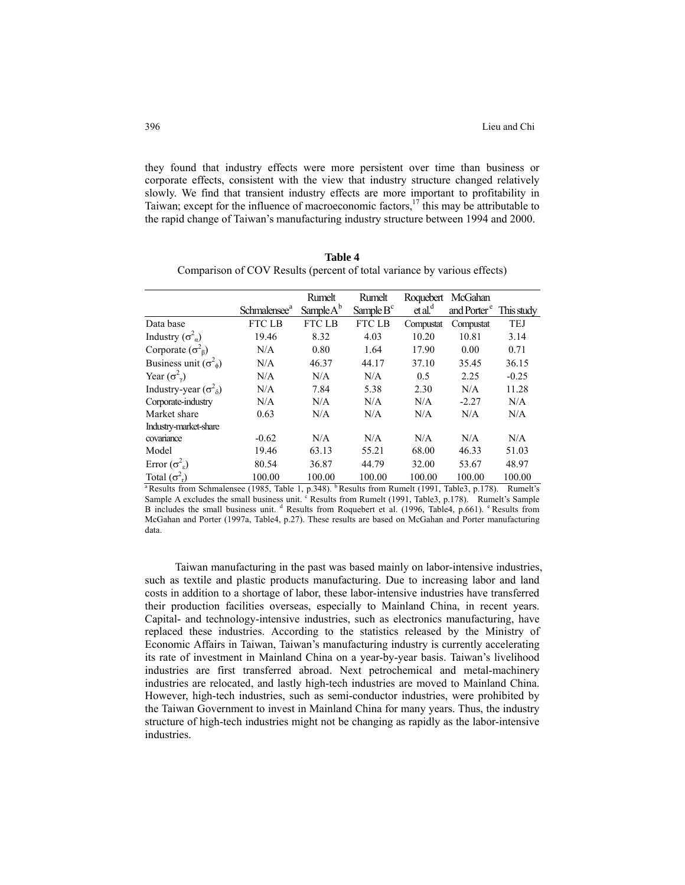they found that industry effects were more persistent over time than business or corporate effects, consistent with the view that industry structure changed relatively slowly. We find that transient industry effects are more important to profitability in Taiwan; except for the influence of macroeconomic factors, $17$  this may be attributable to the rapid change of Taiwan's manufacturing industry structure between 1994 and 2000.

|                                     | Schmalensee <sup>a</sup> | Rumelt<br>Sample $A^b$ | Rumelt<br>Sample $B^c$ | Roquebert<br>et al <sup>d</sup> | McGahan<br>and Porter <sup>e</sup> This study |            |
|-------------------------------------|--------------------------|------------------------|------------------------|---------------------------------|-----------------------------------------------|------------|
| Data base                           | <b>FTC LB</b>            | FTC LB                 | <b>FTC LB</b>          | Compustat                       | Compustat                                     | <b>TEJ</b> |
| Industry $(\sigma_{\alpha}^2)$      | 19.46                    | 8.32                   | 4.03                   | 10.20                           | 10.81                                         | 3.14       |
| Corporate $(\sigma_{\beta}^2)$      | N/A                      | 0.80                   | 1.64                   | 17.90                           | 0.00                                          | 0.71       |
| Business unit $(\sigma^2_{\phi})$   | N/A                      | 46.37                  | 44.17                  | 37.10                           | 35.45                                         | 36.15      |
| Year $(\sigma_{\gamma}^2)$          | N/A                      | N/A                    | N/A                    | 0.5                             | 2.25                                          | $-0.25$    |
| Industry-year $(\sigma^2_{\delta})$ | N/A                      | 7.84                   | 5.38                   | 2.30                            | N/A                                           | 11.28      |
| Corporate-industry                  | N/A                      | N/A                    | N/A                    | N/A                             | $-2.27$                                       | N/A        |
| Market share                        | 0.63                     | N/A                    | N/A                    | N/A                             | N/A                                           | N/A        |
| Industry-market-share               |                          |                        |                        |                                 |                                               |            |
| covariance                          | $-0.62$                  | N/A                    | N/A                    | N/A                             | N/A                                           | N/A        |
| Model                               | 19.46                    | 63.13                  | 55.21                  | 68.00                           | 46.33                                         | 51.03      |
| Error $(\sigma_{\varepsilon}^2)$    | 80.54                    | 36.87                  | 44.79                  | 32.00                           | 53.67                                         | 48.97      |
| Total $(\sigma_{r}^{2})$            | 100.00                   | 100.00                 | 100.00                 | 100.00                          | 100.00                                        | 100.00     |

**Table 4**  Comparison of COV Results (percent of total variance by various effects)

<sup>a</sup> Results from Schmalensee (1985, Table 1, p.348). <sup>b</sup> Results from Rumelt (1991, Table3, p.178). Rumelt's Sample A excludes the small business unit.  $\epsilon$  Results from Rumelt (1991, Table3, p.178). Rumelt's Sample B includes the small business unit. <sup>d</sup> Results from Roquebert et al. (1996, Table4, p.661). <sup>e</sup> Results from McGahan and Porter (1997a, Table4, p.27). These results are based on McGahan and Porter manufacturing data.

Taiwan manufacturing in the past was based mainly on labor-intensive industries, such as textile and plastic products manufacturing. Due to increasing labor and land costs in addition to a shortage of labor, these labor-intensive industries have transferred their production facilities overseas, especially to Mainland China, in recent years. Capital- and technology-intensive industries, such as electronics manufacturing, have replaced these industries. According to the statistics released by the Ministry of Economic Affairs in Taiwan, Taiwan's manufacturing industry is currently accelerating its rate of investment in Mainland China on a year-by-year basis. Taiwan's livelihood industries are first transferred abroad. Next petrochemical and metal-machinery industries are relocated, and lastly high-tech industries are moved to Mainland China. However, high-tech industries, such as semi-conductor industries, were prohibited by the Taiwan Government to invest in Mainland China for many years. Thus, the industry structure of high-tech industries might not be changing as rapidly as the labor-intensive industries.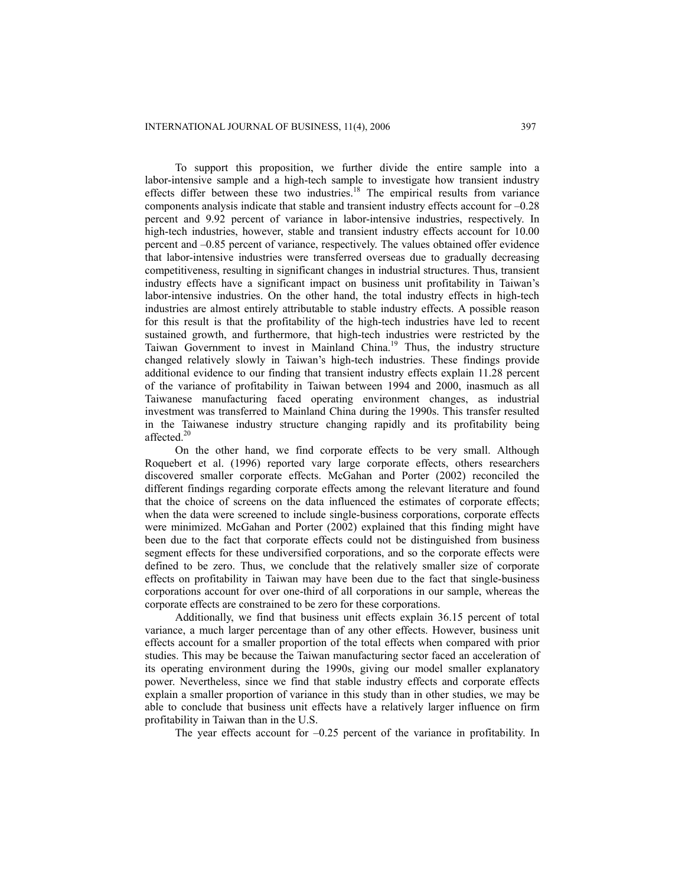To support this proposition, we further divide the entire sample into a labor-intensive sample and a high-tech sample to investigate how transient industry effects differ between these two industries.<sup>18</sup> The empirical results from variance components analysis indicate that stable and transient industry effects account for –0.28 percent and 9.92 percent of variance in labor-intensive industries, respectively. In high-tech industries, however, stable and transient industry effects account for 10.00 percent and –0.85 percent of variance, respectively. The values obtained offer evidence that labor-intensive industries were transferred overseas due to gradually decreasing competitiveness, resulting in significant changes in industrial structures. Thus, transient industry effects have a significant impact on business unit profitability in Taiwan's labor-intensive industries. On the other hand, the total industry effects in high-tech industries are almost entirely attributable to stable industry effects. A possible reason for this result is that the profitability of the high-tech industries have led to recent sustained growth, and furthermore, that high-tech industries were restricted by the Taiwan Government to invest in Mainland China.19 Thus, the industry structure changed relatively slowly in Taiwan's high-tech industries. These findings provide additional evidence to our finding that transient industry effects explain 11.28 percent of the variance of profitability in Taiwan between 1994 and 2000, inasmuch as all Taiwanese manufacturing faced operating environment changes, as industrial investment was transferred to Mainland China during the 1990s. This transfer resulted in the Taiwanese industry structure changing rapidly and its profitability being affected.<sup>20</sup>

On the other hand, we find corporate effects to be very small. Although Roquebert et al. (1996) reported vary large corporate effects, others researchers discovered smaller corporate effects. McGahan and Porter (2002) reconciled the different findings regarding corporate effects among the relevant literature and found that the choice of screens on the data influenced the estimates of corporate effects; when the data were screened to include single-business corporations, corporate effects were minimized. McGahan and Porter (2002) explained that this finding might have been due to the fact that corporate effects could not be distinguished from business segment effects for these undiversified corporations, and so the corporate effects were defined to be zero. Thus, we conclude that the relatively smaller size of corporate effects on profitability in Taiwan may have been due to the fact that single-business corporations account for over one-third of all corporations in our sample, whereas the corporate effects are constrained to be zero for these corporations.

Additionally, we find that business unit effects explain 36.15 percent of total variance, a much larger percentage than of any other effects. However, business unit effects account for a smaller proportion of the total effects when compared with prior studies. This may be because the Taiwan manufacturing sector faced an acceleration of its operating environment during the 1990s, giving our model smaller explanatory power. Nevertheless, since we find that stable industry effects and corporate effects explain a smaller proportion of variance in this study than in other studies, we may be able to conclude that business unit effects have a relatively larger influence on firm profitability in Taiwan than in the U.S.

The year effects account for –0.25 percent of the variance in profitability. In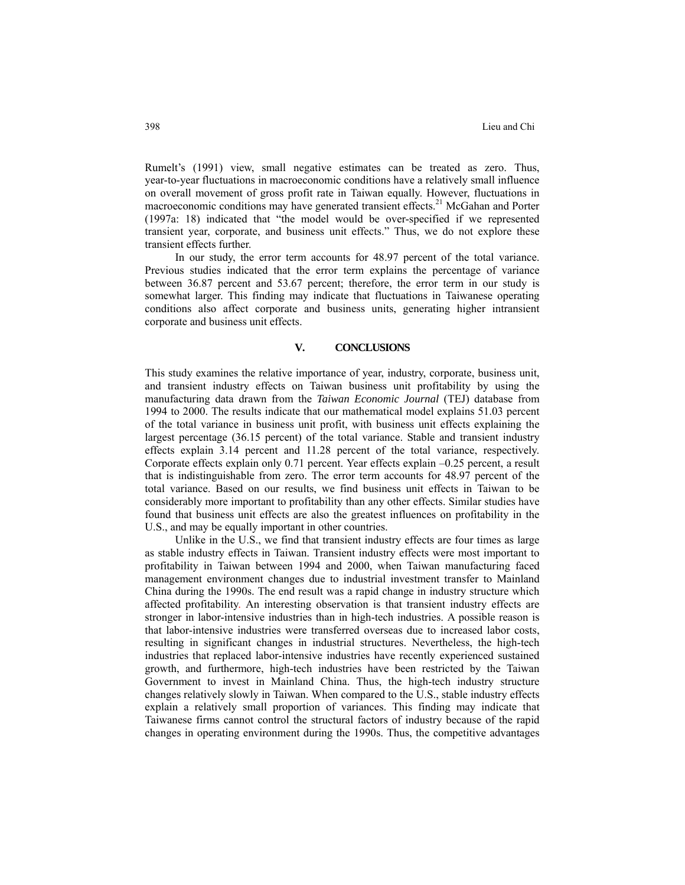Rumelt's (1991) view, small negative estimates can be treated as zero. Thus, year-to-year fluctuations in macroeconomic conditions have a relatively small influence on overall movement of gross profit rate in Taiwan equally. However, fluctuations in macroeconomic conditions may have generated transient effects.<sup>21</sup> McGahan and Porter (1997a: 18) indicated that "the model would be over-specified if we represented transient year, corporate, and business unit effects." Thus, we do not explore these transient effects further.

In our study, the error term accounts for 48.97 percent of the total variance. Previous studies indicated that the error term explains the percentage of variance between 36.87 percent and 53.67 percent; therefore, the error term in our study is somewhat larger. This finding may indicate that fluctuations in Taiwanese operating conditions also affect corporate and business units, generating higher intransient corporate and business unit effects.

## **V. CONCLUSIONS**

This study examines the relative importance of year, industry, corporate, business unit, and transient industry effects on Taiwan business unit profitability by using the manufacturing data drawn from the *Taiwan Economic Journal* (TEJ) database from 1994 to 2000. The results indicate that our mathematical model explains 51.03 percent of the total variance in business unit profit, with business unit effects explaining the largest percentage (36.15 percent) of the total variance. Stable and transient industry effects explain 3.14 percent and 11.28 percent of the total variance, respectively. Corporate effects explain only 0.71 percent. Year effects explain –0.25 percent, a result that is indistinguishable from zero. The error term accounts for 48.97 percent of the total variance. Based on our results, we find business unit effects in Taiwan to be considerably more important to profitability than any other effects. Similar studies have found that business unit effects are also the greatest influences on profitability in the U.S., and may be equally important in other countries.

Unlike in the U.S., we find that transient industry effects are four times as large as stable industry effects in Taiwan. Transient industry effects were most important to profitability in Taiwan between 1994 and 2000, when Taiwan manufacturing faced management environment changes due to industrial investment transfer to Mainland China during the 1990s. The end result was a rapid change in industry structure which affected profitability. An interesting observation is that transient industry effects are stronger in labor-intensive industries than in high-tech industries. A possible reason is that labor-intensive industries were transferred overseas due to increased labor costs, resulting in significant changes in industrial structures. Nevertheless, the high-tech industries that replaced labor-intensive industries have recently experienced sustained growth, and furthermore, high-tech industries have been restricted by the Taiwan Government to invest in Mainland China. Thus, the high-tech industry structure changes relatively slowly in Taiwan. When compared to the U.S., stable industry effects explain a relatively small proportion of variances. This finding may indicate that Taiwanese firms cannot control the structural factors of industry because of the rapid changes in operating environment during the 1990s. Thus, the competitive advantages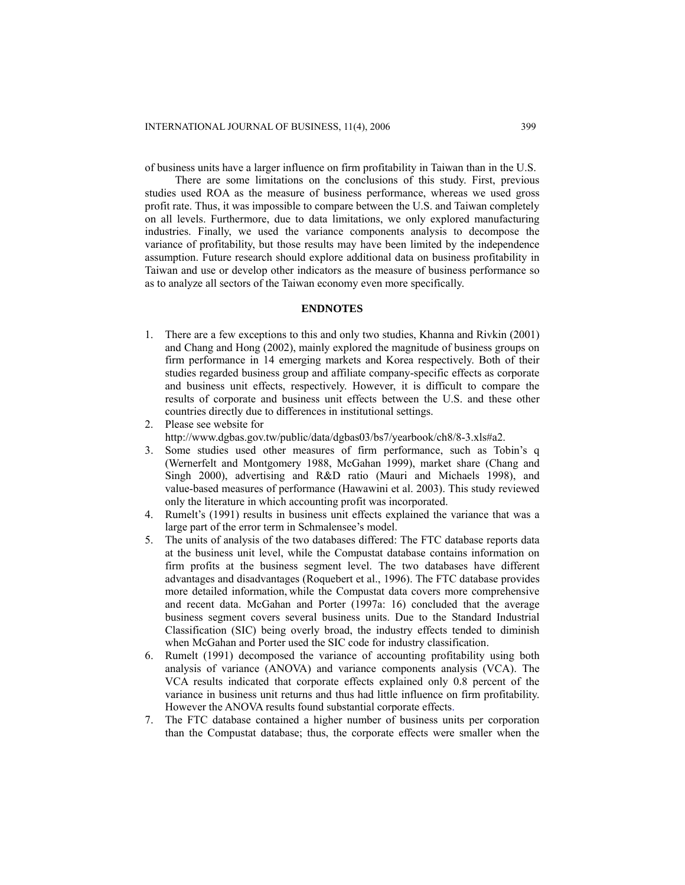of business units have a larger influence on firm profitability in Taiwan than in the U.S.

There are some limitations on the conclusions of this study. First, previous studies used ROA as the measure of business performance, whereas we used gross profit rate. Thus, it was impossible to compare between the U.S. and Taiwan completely on all levels. Furthermore, due to data limitations, we only explored manufacturing industries. Finally, we used the variance components analysis to decompose the variance of profitability, but those results may have been limited by the independence assumption. Future research should explore additional data on business profitability in Taiwan and use or develop other indicators as the measure of business performance so as to analyze all sectors of the Taiwan economy even more specifically.

#### **ENDNOTES**

- 1. There are a few exceptions to this and only two studies, Khanna and Rivkin (2001) and Chang and Hong (2002), mainly explored the magnitude of business groups on firm performance in 14 emerging markets and Korea respectively. Both of their studies regarded business group and affiliate company-specific effects as corporate and business unit effects, respectively. However, it is difficult to compare the results of corporate and business unit effects between the U.S. and these other countries directly due to differences in institutional settings.
- 2. Please see website for
- [http://www.dgbas.gov.tw/public/data/dgbas03/bs7/yearbook/ch8/8-3.xls#a2.](http://www.dgbas.gov.tw/public/data/dgbas03/bs7/yearbook/ch8/8-3.xls#a2)
- 3. Some studies used other measures of firm performance, such as Tobin's q (Wernerfelt and Montgomery 1988, McGahan 1999), market share (Chang and Singh 2000), advertising and R&D ratio (Mauri and Michaels 1998), and value-based measures of performance (Hawawini et al. 2003). This study reviewed only the literature in which accounting profit was incorporated.
- 4. Rumelt's (1991) results in business unit effects explained the variance that was a large part of the error term in Schmalensee's model.
- 5. The units of analysis of the two databases differed: The FTC database reports data at the business unit level, while the Compustat database contains information on firm profits at the business segment level. The two databases have different advantages and disadvantages (Roquebert et al., 1996). The FTC database provides more detailed information, while the Compustat data covers more comprehensive and recent data. McGahan and Porter (1997a: 16) concluded that the average business segment covers several business units. Due to the Standard Industrial Classification (SIC) being overly broad, the industry effects tended to diminish when McGahan and Porter used the SIC code for industry classification.
- 6. Rumelt (1991) decomposed the variance of accounting profitability using both analysis of variance (ANOVA) and variance components analysis (VCA). The VCA results indicated that corporate effects explained only 0.8 percent of the variance in business unit returns and thus had little influence on firm profitability. However the ANOVA results found substantial corporate effects.
- 7. The FTC database contained a higher number of business units per corporation than the Compustat database; thus, the corporate effects were smaller when the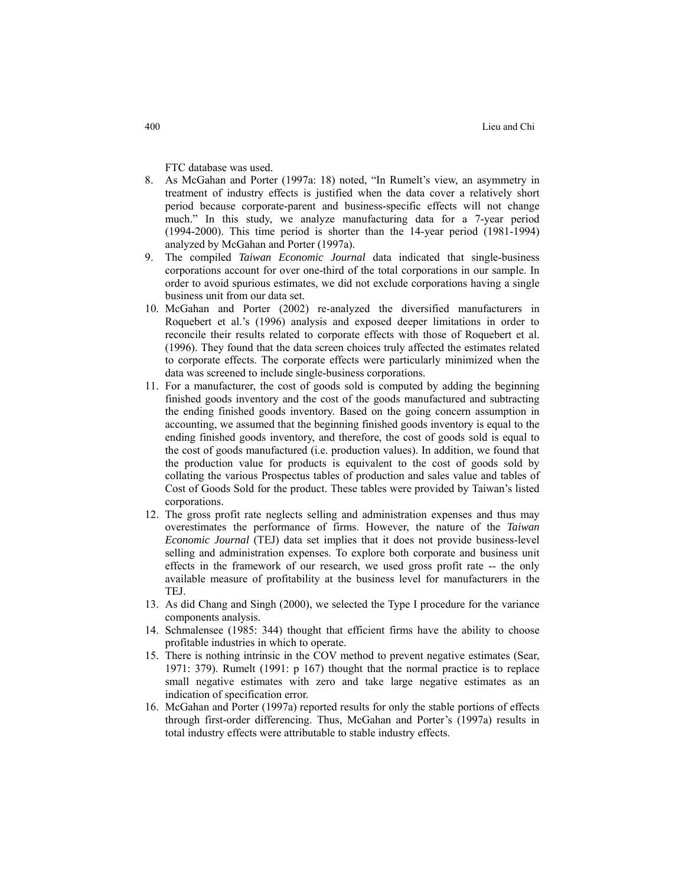FTC database was used.

- 8. As McGahan and Porter (1997a: 18) noted, "In Rumelt's view, an asymmetry in treatment of industry effects is justified when the data cover a relatively short period because corporate-parent and business-specific effects will not change much." In this study, we analyze manufacturing data for a 7-year period (1994-2000). This time period is shorter than the 14-year period (1981-1994) analyzed by McGahan and Porter (1997a).
- 9. The compiled *Taiwan Economic Journal* data indicated that single-business corporations account for over one-third of the total corporations in our sample. In order to avoid spurious estimates, we did not exclude corporations having a single business unit from our data set.
- 10. McGahan and Porter (2002) re-analyzed the diversified manufacturers in Roquebert et al.'s (1996) analysis and exposed deeper limitations in order to reconcile their results related to corporate effects with those of Roquebert et al. (1996). They found that the data screen choices truly affected the estimates related to corporate effects. The corporate effects were particularly minimized when the data was screened to include single-business corporations.
- 11. For a manufacturer, the cost of goods sold is computed by adding the beginning finished goods inventory and the cost of the goods manufactured and subtracting the ending finished goods inventory. Based on the going concern assumption in accounting, we assumed that the beginning finished goods inventory is equal to the ending finished goods inventory, and therefore, the cost of goods sold is equal to the cost of goods manufactured (i.e. production values). In addition, we found that the production value for products is equivalent to the cost of goods sold by collating the various Prospectus tables of production and sales value and tables of Cost of Goods Sold for the product. These tables were provided by Taiwan's listed corporations.
- 12. The gross profit rate neglects selling and administration expenses and thus may overestimates the performance of firms. However, the nature of the *Taiwan Economic Journal* (TEJ) data set implies that it does not provide business-level selling and administration expenses. To explore both corporate and business unit effects in the framework of our research, we used gross profit rate -- the only available measure of profitability at the business level for manufacturers in the TEJ.
- 13. As did Chang and Singh (2000), we selected the Type I procedure for the variance components analysis.
- 14. Schmalensee (1985: 344) thought that efficient firms have the ability to choose profitable industries in which to operate.
- 15. There is nothing intrinsic in the COV method to prevent negative estimates (Sear, 1971: 379). Rumelt (1991: p 167) thought that the normal practice is to replace small negative estimates with zero and take large negative estimates as an indication of specification error.
- 16. McGahan and Porter (1997a) reported results for only the stable portions of effects through first-order differencing. Thus, McGahan and Porter's (1997a) results in total industry effects were attributable to stable industry effects.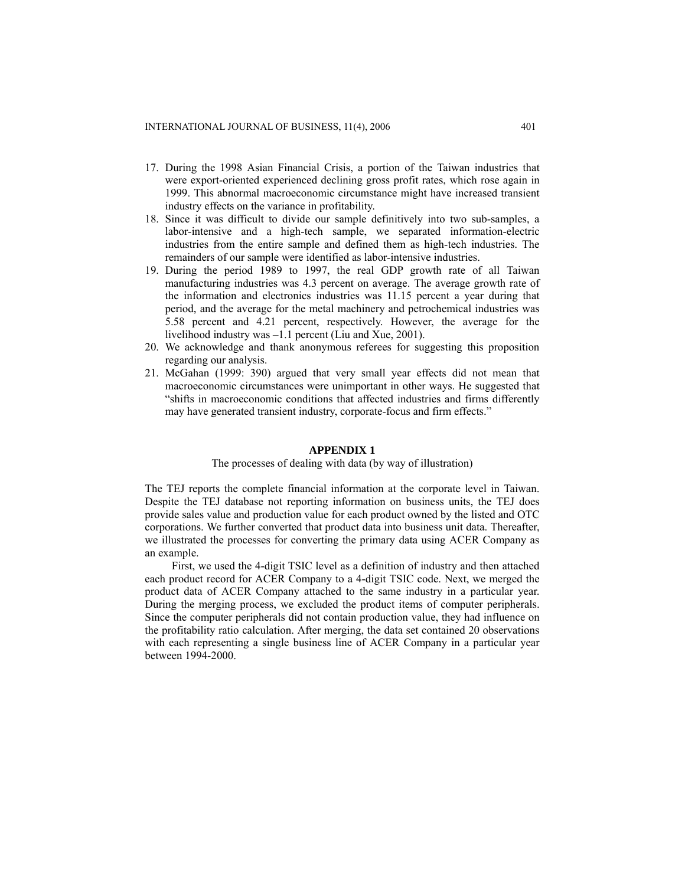- 17. During the 1998 Asian Financial Crisis, a portion of the Taiwan industries that were export-oriented experienced declining gross profit rates, which rose again in 1999. This abnormal macroeconomic circumstance might have increased transient industry effects on the variance in profitability.
- 18. Since it was difficult to divide our sample definitively into two sub-samples, a labor-intensive and a high-tech sample, we separated information-electric industries from the entire sample and defined them as high-tech industries. The remainders of our sample were identified as labor-intensive industries.
- 19. During the period 1989 to 1997, the real GDP growth rate of all Taiwan manufacturing industries was 4.3 percent on average. The average growth rate of the information and electronics industries was 11.15 percent a year during that period, and the average for the metal machinery and petrochemical industries was 5.58 percent and 4.21 percent, respectively. However, the average for the livelihood industry was –1.1 percent (Liu and Xue, 2001).
- 20. We acknowledge and thank anonymous referees for suggesting this proposition regarding our analysis.
- 21. McGahan (1999: 390) argued that very small year effects did not mean that macroeconomic circumstances were unimportant in other ways. He suggested that "shifts in macroeconomic conditions that affected industries and firms differently may have generated transient industry, corporate-focus and firm effects."

## **APPENDIX 1**

#### The processes of dealing with data (by way of illustration)

The TEJ reports the complete financial information at the corporate level in Taiwan. Despite the TEJ database not reporting information on business units, the TEJ does provide sales value and production value for each product owned by the listed and OTC corporations. We further converted that product data into business unit data. Thereafter, we illustrated the processes for converting the primary data using ACER Company as an example.

First, we used the 4-digit TSIC level as a definition of industry and then attached each product record for ACER Company to a 4-digit TSIC code. Next, we merged the product data of ACER Company attached to the same industry in a particular year. During the merging process, we excluded the product items of computer peripherals. Since the computer peripherals did not contain production value, they had influence on the profitability ratio calculation. After merging, the data set contained 20 observations with each representing a single business line of ACER Company in a particular year between 1994-2000.